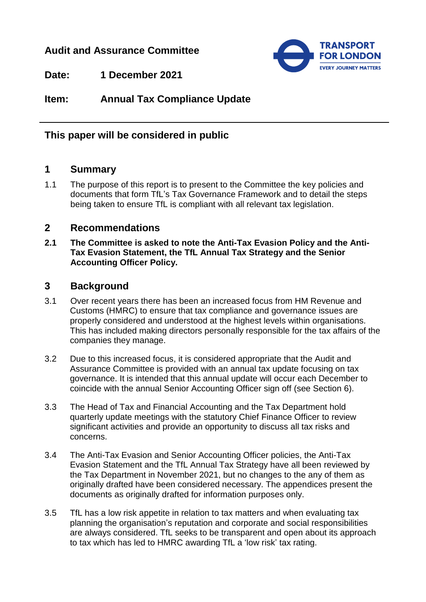# **Audit and Assurance Committee**



**Date: 1 December 2021**

**Item: Annual Tax Compliance Update**

# **This paper will be considered in public**

#### **1 Summary**

1.1 The purpose of this report is to present to the Committee the key policies and documents that form TfL's Tax Governance Framework and to detail the steps being taken to ensure TfL is compliant with all relevant tax legislation.

#### **2 Recommendations**

**2.1 The Committee is asked to note the Anti-Tax Evasion Policy and the Anti-Tax Evasion Statement, the TfL Annual Tax Strategy and the Senior Accounting Officer Policy.**

#### **3 Background**

- 3.1 Over recent years there has been an increased focus from HM Revenue and Customs (HMRC) to ensure that tax compliance and governance issues are properly considered and understood at the highest levels within organisations. This has included making directors personally responsible for the tax affairs of the companies they manage.
- 3.2 Due to this increased focus, it is considered appropriate that the Audit and Assurance Committee is provided with an annual tax update focusing on tax governance. It is intended that this annual update will occur each December to coincide with the annual Senior Accounting Officer sign off (see Section 6).
- 3.3 The Head of Tax and Financial Accounting and the Tax Department hold quarterly update meetings with the statutory Chief Finance Officer to review significant activities and provide an opportunity to discuss all tax risks and concerns.
- 3.4 The Anti-Tax Evasion and Senior Accounting Officer policies, the Anti-Tax Evasion Statement and the TfL Annual Tax Strategy have all been reviewed by the Tax Department in November 2021, but no changes to the any of them as originally drafted have been considered necessary. The appendices present the documents as originally drafted for information purposes only.
- 3.5 TfL has a low risk appetite in relation to tax matters and when evaluating tax planning the organisation's reputation and corporate and social responsibilities are always considered. TfL seeks to be transparent and open about its approach to tax which has led to HMRC awarding TfL a 'low risk' tax rating.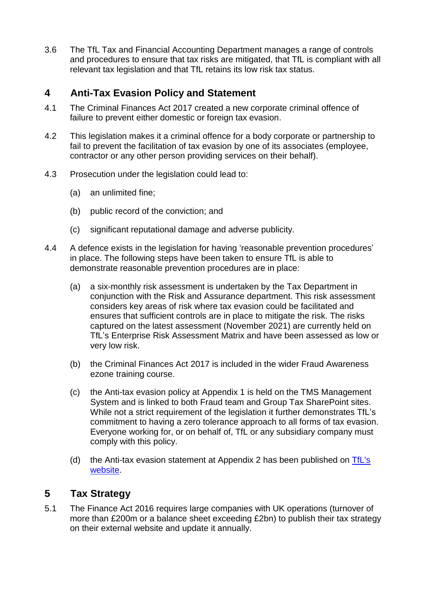3.6 The TfL Tax and Financial Accounting Department manages a range of controls and procedures to ensure that tax risks are mitigated, that TfL is compliant with all relevant tax legislation and that TfL retains its low risk tax status.

# **4 Anti-Tax Evasion Policy and Statement**

- 4.1 The Criminal Finances Act 2017 created a new corporate criminal offence of failure to prevent either domestic or foreign tax evasion.
- 4.2 This legislation makes it a criminal offence for a body corporate or partnership to fail to prevent the facilitation of tax evasion by one of its associates (employee, contractor or any other person providing services on their behalf).
- 4.3 Prosecution under the legislation could lead to:
	- (a) an unlimited fine;
	- (b) public record of the conviction; and
	- (c) significant reputational damage and adverse publicity.
- 4.4 A defence exists in the legislation for having 'reasonable prevention procedures' in place. The following steps have been taken to ensure TfL is able to demonstrate reasonable prevention procedures are in place:
	- (a) a six-monthly risk assessment is undertaken by the Tax Department in conjunction with the Risk and Assurance department. This risk assessment considers key areas of risk where tax evasion could be facilitated and ensures that sufficient controls are in place to mitigate the risk. The risks captured on the latest assessment (November 2021) are currently held on TfL's Enterprise Risk Assessment Matrix and have been assessed as low or very low risk.
	- (b) the Criminal Finances Act 2017 is included in the wider Fraud Awareness ezone training course.
	- (c) the Anti-tax evasion policy at Appendix 1 is held on the TMS Management System and is linked to both Fraud team and Group Tax SharePoint sites. While not a strict requirement of the legislation it further demonstrates TfL's commitment to having a zero tolerance approach to all forms of tax evasion. Everyone working for, or on behalf of, TfL or any subsidiary company must comply with this policy.
	- (d) the Anti-tax evasion statement at Appendix 2 has been published on [TfL's](https://tfl.gov.uk/corporate/transparency/#on-this-page-10)  [website.](https://tfl.gov.uk/corporate/transparency/#on-this-page-10)

# **5 Tax Strategy**

5.1 The Finance Act 2016 requires large companies with UK operations (turnover of more than £200m or a balance sheet exceeding £2bn) to publish their tax strategy on their external website and update it annually.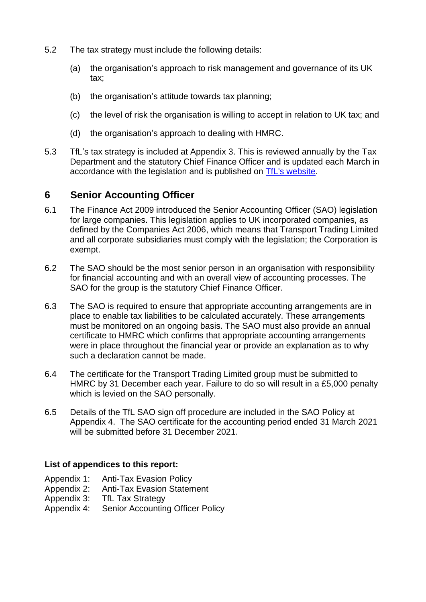- 5.2 The tax strategy must include the following details:
	- (a) the organisation's approach to risk management and governance of its UK tax;
	- (b) the organisation's attitude towards tax planning;
	- (c) the level of risk the organisation is willing to accept in relation to UK tax; and
	- (d) the organisation's approach to dealing with HMRC.
- 5.3 TfL's tax strategy is included at Appendix 3. This is reviewed annually by the Tax Department and the statutory Chief Finance Officer and is updated each March in accordance with the legislation and is published on [TfL's website.](https://tfl.gov.uk/corporate/transparency/#on-this-page-10)

### **6 Senior Accounting Officer**

- 6.1 The Finance Act 2009 introduced the Senior Accounting Officer (SAO) legislation for large companies. This legislation applies to UK incorporated companies, as defined by the Companies Act 2006, which means that Transport Trading Limited and all corporate subsidiaries must comply with the legislation; the Corporation is exempt.
- 6.2 The SAO should be the most senior person in an organisation with responsibility for financial accounting and with an overall view of accounting processes. The SAO for the group is the statutory Chief Finance Officer.
- 6.3 The SAO is required to ensure that appropriate accounting arrangements are in place to enable tax liabilities to be calculated accurately. These arrangements must be monitored on an ongoing basis. The SAO must also provide an annual certificate to HMRC which confirms that appropriate accounting arrangements were in place throughout the financial year or provide an explanation as to why such a declaration cannot be made.
- 6.4 The certificate for the Transport Trading Limited group must be submitted to HMRC by 31 December each year. Failure to do so will result in a £5,000 penalty which is levied on the SAO personally.
- 6.5 Details of the TfL SAO sign off procedure are included in the SAO Policy at Appendix 4. The SAO certificate for the accounting period ended 31 March 2021 will be submitted before 31 December 2021.

#### **List of appendices to this report:**

- Appendix 1: Anti-Tax Evasion Policy
- Appendix 2: Anti-Tax Evasion Statement
- Appendix 3: TfL Tax Strategy
- Appendix 4: Senior Accounting Officer Policy